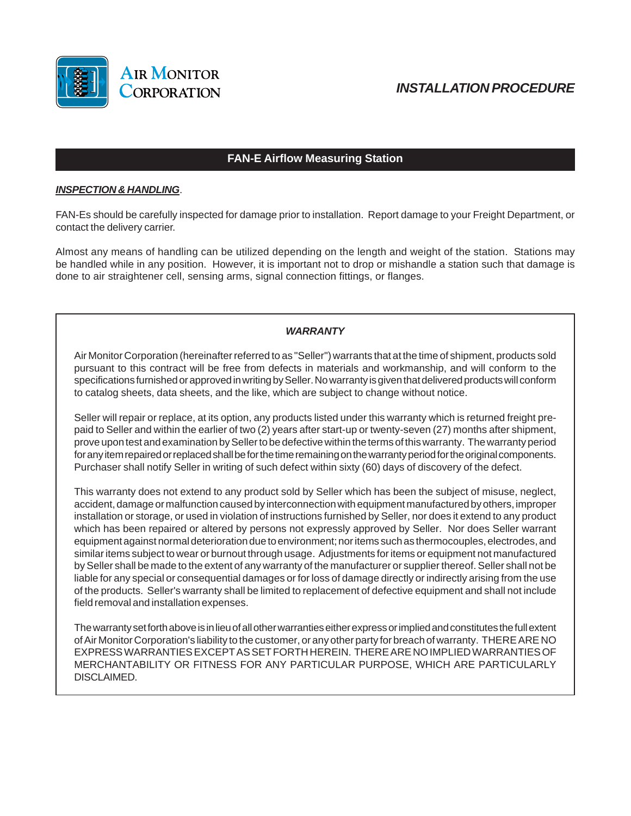

# *INSTALLATION PROCEDURE*

## **FAN-E Airflow Measuring Station**

## *INSPECTION & HANDLING*.

FAN-Es should be carefully inspected for damage prior to installation. Report damage to your Freight Department, or contact the delivery carrier.

Almost any means of handling can be utilized depending on the length and weight of the station. Stations may be handled while in any position. However, it is important not to drop or mishandle a station such that damage is done to air straightener cell, sensing arms, signal connection fittings, or flanges.

## *WARRANTY*

Air Monitor Corporation (hereinafter referred to as "Seller") warrants that at the time of shipment, products sold pursuant to this contract will be free from defects in materials and workmanship, and will conform to the specifications furnished or approved in writing by Seller. No warranty is given that delivered products will conform to catalog sheets, data sheets, and the like, which are subject to change without notice.

Seller will repair or replace, at its option, any products listed under this warranty which is returned freight prepaid to Seller and within the earlier of two (2) years after start-up or twenty-seven (27) months after shipment, prove upon test and examination by Seller to be defective within the terms of this warranty. The warranty period for any item repaired or replaced shall be for the time remaining on the warranty period for the original components. Purchaser shall notify Seller in writing of such defect within sixty (60) days of discovery of the defect.

This warranty does not extend to any product sold by Seller which has been the subject of misuse, neglect, accident, damage or malfunction caused by interconnection with equipment manufactured by others, improper installation or storage, or used in violation of instructions furnished by Seller, nor does it extend to any product which has been repaired or altered by persons not expressly approved by Seller. Nor does Seller warrant equipment against normal deterioration due to environment; nor items such as thermocouples, electrodes, and similar items subject to wear or burnout through usage. Adjustments for items or equipment not manufactured by Seller shall be made to the extent of any warranty of the manufacturer or supplier thereof. Seller shall not be liable for any special or consequential damages or for loss of damage directly or indirectly arising from the use of the products. Seller's warranty shall be limited to replacement of defective equipment and shall not include field removal and installation expenses.

The warranty set forth above is in lieu of all other warranties either express or implied and constitutes the full extent of Air Monitor Corporation's liability to the customer, or any other party for breach of warranty. THERE ARE NO EXPRESS WARRANTIES EXCEPT AS SET FORTH HEREIN. THERE ARE NO IMPLIED WARRANTIES OF MERCHANTABILITY OR FITNESS FOR ANY PARTICULAR PURPOSE, WHICH ARE PARTICULARLY DISCLAIMED.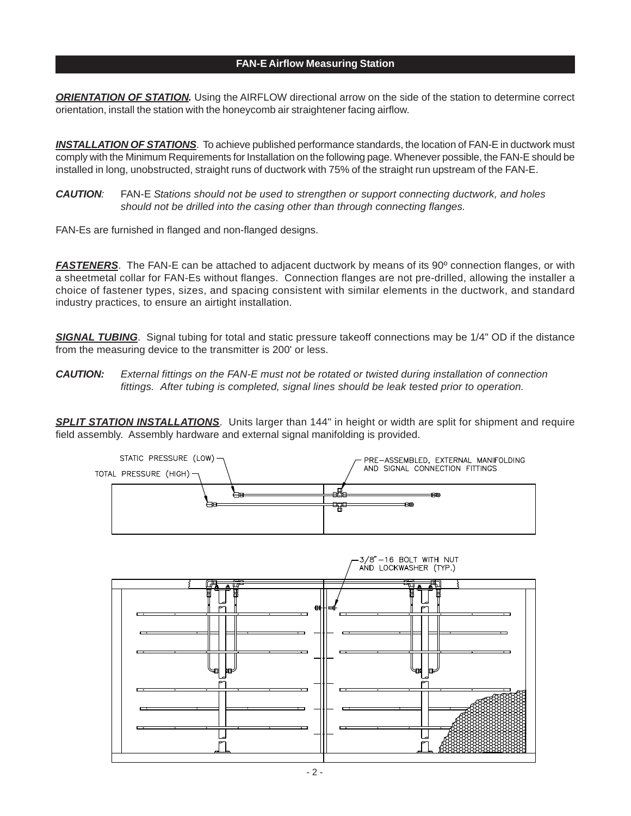#### **FAN-E Airflow Measuring Station**

*ORIENTATION OF STATION.* Using the AIRFLOW directional arrow on the side of the station to determine correct orientation, install the station with the honeycomb air straightener facing airflow.

*INSTALLATION OF STATIONS*. To achieve published performance standards, the location of FAN-E in ductwork must comply with the Minimum Requirements for Installation on the following page. Whenever possible, the FAN-E should be installed in long, unobstructed, straight runs of ductwork with 75% of the straight run upstream of the FAN-E.

*CAUTION:* FAN-E *Stations should not be used to strengthen or support connecting ductwork, and holes should not be drilled into the casing other than through connecting flanges.*

FAN-Es are furnished in flanged and non-flanged designs.

*FASTENERS*. The FAN-E can be attached to adjacent ductwork by means of its 90º connection flanges, or with a sheetmetal collar for FAN-Es without flanges. Connection flanges are not pre-drilled, allowing the installer a choice of fastener types, sizes, and spacing consistent with similar elements in the ductwork, and standard industry practices, to ensure an airtight installation.

*SIGNAL TUBING*. Signal tubing for total and static pressure takeoff connections may be 1/4" OD if the distance from the measuring device to the transmitter is 200' or less.

*CAUTION: External fittings on the FAN-E must not be rotated or twisted during installation of connection fittings. After tubing is completed, signal lines should be leak tested prior to operation.*

*SPLIT STATION INSTALLATIONS*. Units larger than 144" in height or width are split for shipment and require field assembly. Assembly hardware and external signal manifolding is provided.



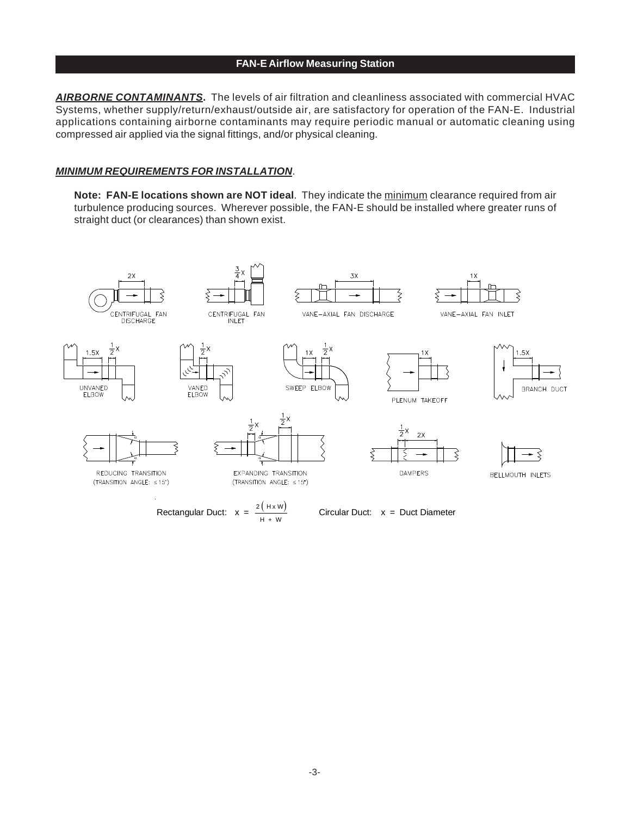#### **FAN-E Airflow Measuring Station**

*AIRBORNE CONTAMINANTS***.** The levels of air filtration and cleanliness associated with commercial HVAC Systems, whether supply/return/exhaust/outside air, are satisfactory for operation of the FAN-E. Industrial applications containing airborne contaminants may require periodic manual or automatic cleaning using compressed air applied via the signal fittings, and/or physical cleaning.

#### *MINIMUM REQUIREMENTS FOR INSTALLATION*.

**Note: FAN-E locations shown are NOT ideal**. They indicate the minimum clearance required from air turbulence producing sources. Wherever possible, the FAN-E should be installed where greater runs of straight duct (or clearances) than shown exist.